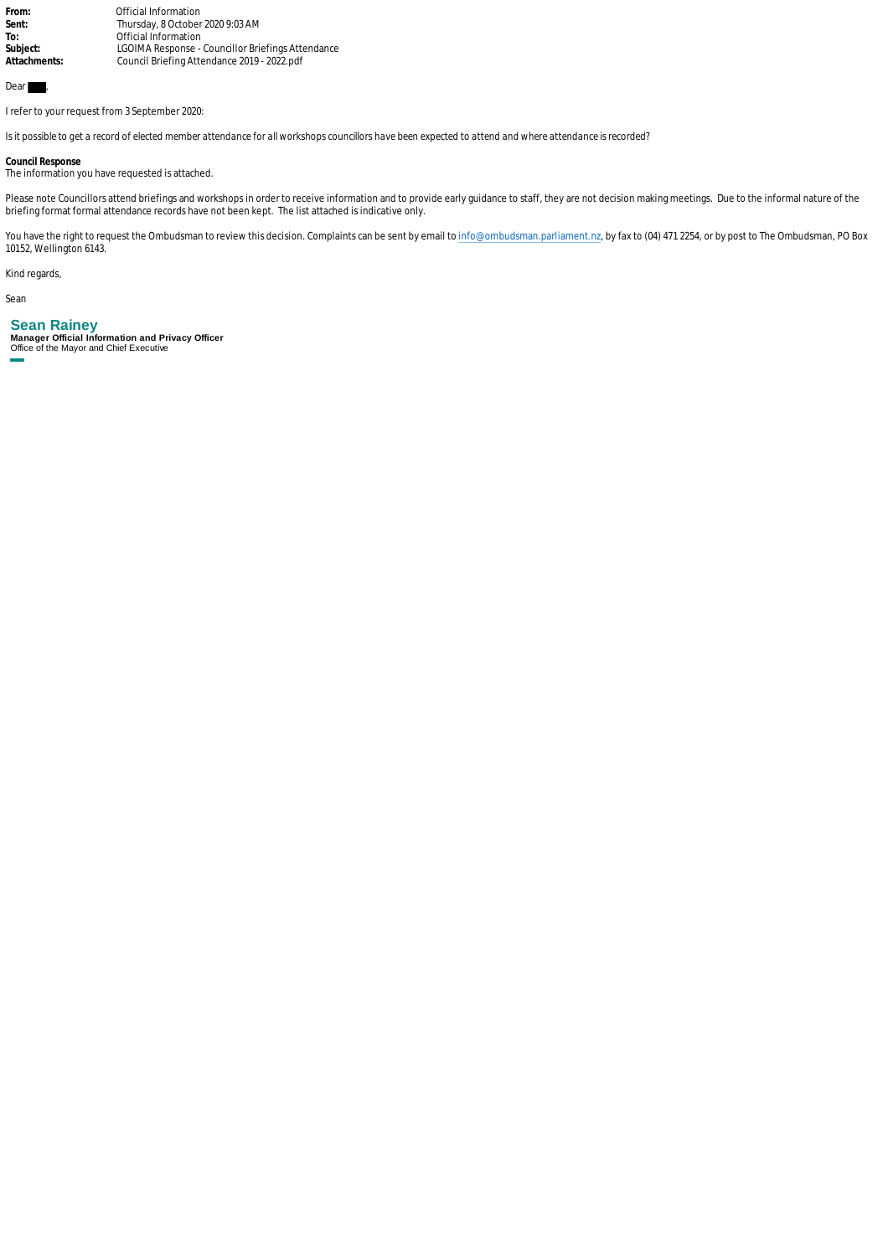From: **1988** Official Information<br> **Sent:** Thursday, 8 October Sent: Thursday, 8 October 2020 9:03 AM<br>To: Official Information To: **The Contract Official Information**<br>
Subject: **COIMA** Response **Subject:** LGOIMA Response - Councillor Briefings Attendance **Attachments:** Council Briefing Attendance 2019 - 2022.pdf

## Dear  $\blacksquare$

I refer to your request from 3 September 2020:

*Is it possible to get a record of elected member attendance for all workshops councillors have been expected to attend and where attendance is recorded?*

**Council Response** The information you have requested is attached.

Please note Councillors attend briefings and workshops in order to receive information and to provide early guidance to staff, they are not decision making meetings. Due to the informal nature of the briefing format formal attendance records have not been kept. The list attached is indicative only.

You have the right to request the Ombudsman to review this decision. Complaints can be sent by email to [info@ombudsman.parliament.nz,](mailto:info@ombudsman.parliament.nz) by fax to (04) 471 2254, or by post to The Ombudsman, PO Box 10152, Wellington 6143.

Kind regards,

Sean

## **Sean Rainey**

**Manager Official Information and Privacy Officer** Office of the Mayor and Chief Executive